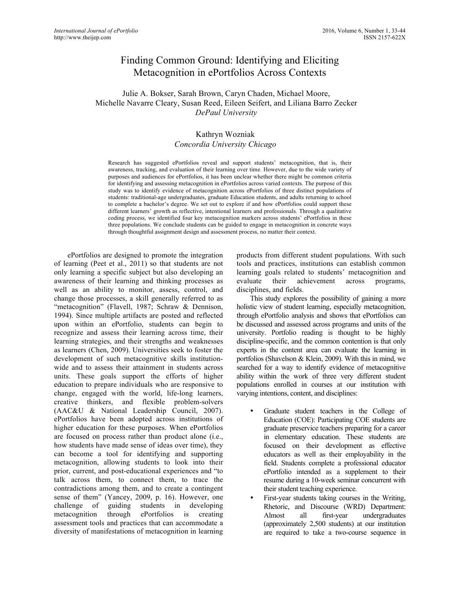# Finding Common Ground: Identifying and Eliciting Metacognition in ePortfolios Across Contexts

# Julie A. Bokser, Sarah Brown, Caryn Chaden, Michael Moore, Michelle Navarre Cleary, Susan Reed, Eileen Seifert, and Liliana Barro Zecker *DePaul University*

# Kathryn Wozniak *Concordia University Chicago*

Research has suggested ePortfolios reveal and support students' metacognition, that is, their awareness, tracking, and evaluation of their learning over time. However, due to the wide variety of purposes and audiences for ePortfolios, it has been unclear whether there might be common criteria for identifying and assessing metacognition in ePortfolios across varied contexts. The purpose of this study was to identify evidence of metacognition across ePortfolios of three distinct populations of students: traditional-age undergraduates, graduate Education students, and adults returning to school to complete a bachelor's degree. We set out to explore if and how ePortfolios could support these different learners' growth as reflective, intentional learners and professionals. Through a qualitative coding process, we identified four key metacognition markers across students' ePortfolios in these three populations. We conclude students can be guided to engage in metacognition in concrete ways through thoughtful assignment design and assessment process, no matter their context.

ePortfolios are designed to promote the integration of learning (Peet et al., 2011) so that students are not only learning a specific subject but also developing an awareness of their learning and thinking processes as well as an ability to monitor, assess, control, and change those processes, a skill generally referred to as "metacognition" (Flavell, 1987; Schraw & Dennison, 1994). Since multiple artifacts are posted and reflected upon within an ePortfolio, students can begin to recognize and assess their learning across time, their learning strategies, and their strengths and weaknesses as learners (Chen, 2009). Universities seek to foster the development of such metacognitive skills institutionwide and to assess their attainment in students across units. These goals support the efforts of higher education to prepare individuals who are responsive to change, engaged with the world, life-long learners, creative thinkers, and flexible problem-solvers (AAC&U & National Leadership Council, 2007). ePortfolios have been adopted across institutions of higher education for these purposes. When ePortfolios are focused on process rather than product alone (i.e., how students have made sense of ideas over time), they can become a tool for identifying and supporting metacognition, allowing students to look into their prior, current, and post-educational experiences and "to talk across them, to connect them, to trace the contradictions among them, and to create a contingent sense of them" (Yancey, 2009, p. 16). However, one challenge of guiding students in developing metacognition through ePortfolios is creating assessment tools and practices that can accommodate a diversity of manifestations of metacognition in learning

products from different student populations. With such tools and practices, institutions can establish common learning goals related to students' metacognition and evaluate their achievement across programs, disciplines, and fields.

This study explores the possibility of gaining a more holistic view of student learning, especially metacognition, through ePortfolio analysis and shows that ePortfolios can be discussed and assessed across programs and units of the university. Portfolio reading is thought to be highly discipline-specific, and the common contention is that only experts in the content area can evaluate the learning in portfolios (Shavelson & Klein, 2009). With this in mind, we searched for a way to identify evidence of metacognitive ability within the work of three very different student populations enrolled in courses at our institution with varying intentions, content, and disciplines:

- Graduate student teachers in the College of Education (COE): Participating COE students are graduate preservice teachers preparing for a career in elementary education. These students are focused on their development as effective educators as well as their employability in the field. Students complete a professional educator ePortfolio intended as a supplement to their resume during a 10-week seminar concurrent with their student teaching experience.
- First-year students taking courses in the Writing, Rhetoric, and Discourse (WRD) Department: Almost all first-year undergraduates (approximately 2,500 students) at our institution are required to take a two-course sequence in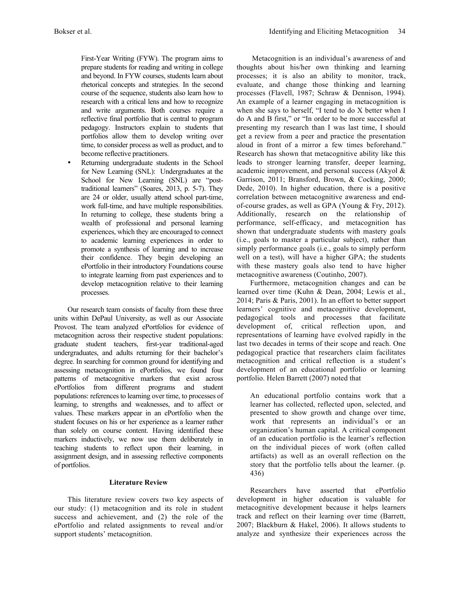First-Year Writing (FYW). The program aims to prepare students for reading and writing in college and beyond. In FYW courses, students learn about rhetorical concepts and strategies. In the second course of the sequence, students also learn how to research with a critical lens and how to recognize and write arguments. Both courses require a reflective final portfolio that is central to program pedagogy. Instructors explain to students that portfolios allow them to develop writing over time, to consider process as well as product, and to become reflective practitioners.

Returning undergraduate students in the School for New Learning (SNL): Undergraduates at the School for New Learning (SNL) are "posttraditional learners" (Soares, 2013, p. 5-7). They are 24 or older, usually attend school part-time, work full-time, and have multiple responsibilities. In returning to college, these students bring a wealth of professional and personal learning experiences, which they are encouraged to connect to academic learning experiences in order to promote a synthesis of learning and to increase their confidence. They begin developing an ePortfolio in their introductory Foundations course to integrate learning from past experiences and to develop metacognition relative to their learning processes.

Our research team consists of faculty from these three units within DePaul University, as well as our Associate Provost. The team analyzed ePortfolios for evidence of metacognition across their respective student populations: graduate student teachers, first-year traditional-aged undergraduates, and adults returning for their bachelor's degree. In searching for common ground for identifying and assessing metacognition in ePortfolios, we found four patterns of metacognitive markers that exist across ePortfolios from different programs and student populations: references to learning over time, to processes of learning, to strengths and weaknesses, and to affect or values. These markers appear in an ePortfolio when the student focuses on his or her experience as a learner rather than solely on course content. Having identified these markers inductively, we now use them deliberately in teaching students to reflect upon their learning, in assignment design, and in assessing reflective components of portfolios.

# **Literature Review**

This literature review covers two key aspects of our study: (1) metacognition and its role in student success and achievement, and (2) the role of the ePortfolio and related assignments to reveal and/or support students' metacognition.

Metacognition is an individual's awareness of and thoughts about his/her own thinking and learning processes; it is also an ability to monitor, track, evaluate, and change those thinking and learning processes (Flavell, 1987; Schraw & Dennison, 1994). An example of a learner engaging in metacognition is when she says to herself, "I tend to do X better when I do A and B first," or "In order to be more successful at presenting my research than I was last time, I should get a review from a peer and practice the presentation aloud in front of a mirror a few times beforehand." Research has shown that metacognitive ability like this leads to stronger learning transfer, deeper learning, academic improvement, and personal success (Akyol & Garrison, 2011; Bransford, Brown, & Cocking, 2000; Dede, 2010). In higher education, there is a positive correlation between metacognitive awareness and endof-course grades, as well as GPA (Young & Fry, 2012). Additionally, research on the relationship of performance, self-efficacy, and metacognition has shown that undergraduate students with mastery goals (i.e., goals to master a particular subject), rather than simply performance goals (i.e., goals to simply perform well on a test), will have a higher GPA; the students with these mastery goals also tend to have higher metacognitive awareness (Coutinho, 2007).

Furthermore, metacognition changes and can be learned over time (Kuhn & Dean, 2004; Lewis et al., 2014; Paris & Paris, 2001). In an effort to better support learners' cognitive and metacognitive development, pedagogical tools and processes that facilitate development of, critical reflection upon, and representations of learning have evolved rapidly in the last two decades in terms of their scope and reach. One pedagogical practice that researchers claim facilitates metacognition and critical reflection is a student's development of an educational portfolio or learning portfolio. Helen Barrett (2007) noted that

An educational portfolio contains work that a learner has collected, reflected upon, selected, and presented to show growth and change over time, work that represents an individual's or an organization's human capital. A critical component of an education portfolio is the learner's reflection on the individual pieces of work (often called artifacts) as well as an overall reflection on the story that the portfolio tells about the learner. (p. 436)

Researchers have asserted that ePortfolio development in higher education is valuable for metacognitive development because it helps learners track and reflect on their learning over time (Barrett, 2007; Blackburn & Hakel, 2006). It allows students to analyze and synthesize their experiences across the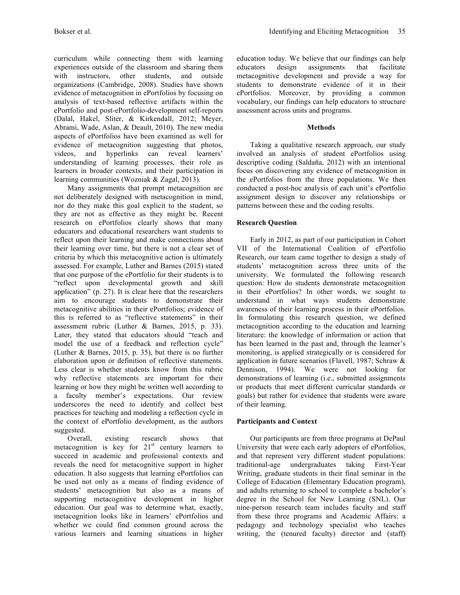curriculum while connecting them with learning experiences outside of the classroom and sharing them with instructors, other students, and outside organizations (Cambridge, 2008). Studies have shown evidence of metacognition in ePortfolios by focusing on analysis of text-based reflective artifacts within the ePortfolio and post-ePortfolio-development self-reports (Dalal, Hakel, Sliter, & Kirkendall, 2012; Meyer, Abrami, Wade, Aslan, & Deault, 2010). The new media aspects of ePortfolios have been examined as well for evidence of metacognition suggesting that photos, videos, and hyperlinks can reveal learners' understanding of learning processes, their role as learners in broader contexts, and their participation in learning communities (Wozniak & Zagal, 2013).

Many assignments that prompt metacognition are not deliberately designed with metacognition in mind, nor do they make this goal explicit to the student, so they are not as effective as they might be. Recent research on ePortfolios clearly shows that many educators and educational researchers want students to reflect upon their learning and make connections about their learning over time, but there is not a clear set of criteria by which this metacognitive action is ultimately assessed. For example, Luther and Barnes (2015) stated that one purpose of the ePortfolio for their students is to "reflect upon developmental growth and skill application" (p. 27). It is clear here that the researchers aim to encourage students to demonstrate their metacognitive abilities in their ePortfolios; evidence of this is referred to as "reflective statements" in their assessment rubric (Luther & Barnes, 2015, p. 33). Later, they stated that educators should "teach and model the use of a feedback and reflection cycle" (Luther & Barnes, 2015, p. 35), but there is no further elaboration upon or definition of reflective statements. Less clear is whether students know from this rubric why reflective statements are important for their learning or how they might be written well according to a faculty member's expectations. Our review underscores the need to identify and collect best practices for teaching and modeling a reflection cycle in the context of ePortfolio development, as the authors suggested.

Overall, existing research shows that metacognition is key for  $21<sup>st</sup>$  century learners to succeed in academic and professional contexts and reveals the need for metacognitive support in higher education. It also suggests that learning ePortfolios can be used not only as a means of finding evidence of students' metacognition but also as a means of supporting metacognitive development in higher education. Our goal was to determine what, exactly, metacognition looks like in learners' ePortfolios and whether we could find common ground across the various learners and learning situations in higher

education today. We believe that our findings can help educators design assignments that facilitate metacognitive development and provide a way for students to demonstrate evidence of it in their ePortfolios. Moreover, by providing a common vocabulary, our findings can help educators to structure assessment across units and programs.

## **Methods**

Taking a qualitative research approach, our study involved an analysis of student ePortfolios using descriptive coding (Saldaña, 2012) with an intentional focus on discovering any evidence of metacognition in the ePortfolios from the three populations. We then conducted a post-hoc analysis of each unit's ePortfolio assignment design to discover any relationships or patterns between these and the coding results.

## **Research Question**

Early in 2012, as part of our participation in Cohort VII of the International Coalition of ePortfolio Research, our team came together to design a study of students' metacognition across three units of the university. We formulated the following research question: How do students demonstrate metacognition in their ePortfolios? In other words, we sought to understand in what ways students demonstrate awareness of their learning process in their ePortfolios. In formulating this research question, we defined metacognition according to the education and learning literature: the knowledge of information or action that has been learned in the past and, through the learner's monitoring, is applied strategically or is considered for application in future scenarios (Flavell, 1987; Schraw & Dennison, 1994). We were not looking for demonstrations of learning (i.e., submitted assignments or products that meet different curricular standards or goals) but rather for evidence that students were aware of their learning.

## **Participants and Context**

Our participants are from three programs at DePaul University that were each early adopters of ePortfolios, and that represent very different student populations: traditional-age undergraduates taking First-Year Writing, graduate students in their final seminar in the College of Education (Elementary Education program), and adults returning to school to complete a bachelor's degree in the School for New Learning (SNL). Our nine-person research team includes faculty and staff from these three programs and Academic Affairs: a pedagogy and technology specialist who teaches writing, the (tenured faculty) director and (staff)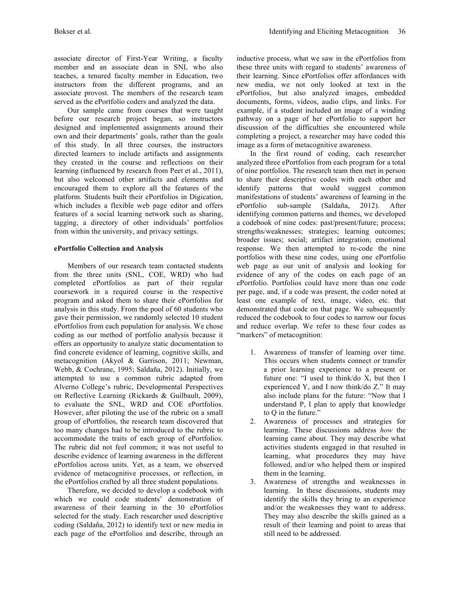associate director of First-Year Writing, a faculty member and an associate dean in SNL who also teaches, a tenured faculty member in Education, two instructors from the different programs, and an associate provost. The members of the research team served as the ePortfolio coders and analyzed the data.

Our sample came from courses that were taught before our research project began, so instructors designed and implemented assignments around their own and their departments' goals, rather than the goals of this study. In all three courses, the instructors directed learners to include artifacts and assignments they created in the course and reflections on their learning (influenced by research from Peet et al., 2011), but also welcomed other artifacts and elements and encouraged them to explore all the features of the platform. Students built their ePortfolios in Digication, which includes a flexible web page editor and offers features of a social learning network such as sharing, tagging, a directory of other individuals' portfolios from within the university, and privacy settings.

# **ePortfolio Collection and Analysis**

Members of our research team contacted students from the three units (SNL, COE, WRD) who had completed ePortfolios as part of their regular coursework in a required course in the respective program and asked them to share their ePortfolios for analysis in this study. From the pool of 60 students who gave their permission, we randomly selected 10 student ePortfolios from each population for analysis. We chose coding as our method of portfolio analysis because it offers an opportunity to analyze static documentation to find concrete evidence of learning, cognitive skills, and metacognition (Akyol & Garrison, 2011; Newman, Webb, & Cochrane, 1995; Saldaña, 2012). Initially, we attempted to use a common rubric adapted from Alverno College's rubric, Developmental Perspectives on Reflective Learning (Rickards & Guilbault, 2009), to evaluate the SNL, WRD and COE ePortfolios. However, after piloting the use of the rubric on a small group of ePortfolios, the research team discovered that too many changes had to be introduced to the rubric to accommodate the traits of each group of ePortfolios. The rubric did not feel common; it was not useful to describe evidence of learning awareness in the different ePortfolios across units. Yet, as a team, we observed evidence of metacognitive processes, or reflection, in the ePortfolios crafted by all three student populations.

Therefore, we decided to develop a codebook with which we could code students' demonstration of awareness of their learning in the 30 ePortfolios selected for the study. Each researcher used descriptive coding (Saldaña, 2012) to identify text or new media in each page of the ePortfolios and describe, through an inductive process, what we saw in the ePortfolios from these three units with regard to students' awareness of their learning. Since ePortfolios offer affordances with new media, we not only looked at text in the ePortfolios, but also analyzed images, embedded documents, forms, videos, audio clips, and links. For example, if a student included an image of a winding pathway on a page of her ePortfolio to support her discussion of the difficulties she encountered while completing a project, a researcher may have coded this image as a form of metacognitive awareness.

In the first round of coding, each researcher analyzed three ePortfolios from each program for a total of nine portfolios. The research team then met in person to share their descriptive codes with each other and identify patterns that would suggest common manifestations of students' awareness of learning in the ePortfolio sub-sample (Saldaña, 2012). After identifying common patterns and themes, we developed a codebook of nine codes: past/present/future; process; strengths/weaknesses; strategies; learning outcomes; broader issues; social; artifact integration; emotional response. We then attempted to re-code the nine portfolios with these nine codes, using one ePortfolio web page as our unit of analysis and looking for evidence of any of the codes on each page of an ePortfolio. Portfolios could have more than one code per page, and, if a code was present, the coder noted at least one example of text, image, video, etc. that demonstrated that code on that page. We subsequently reduced the codebook to four codes to narrow our focus and reduce overlap. We refer to these four codes as "markers" of metacognition:

- 1. Awareness of transfer of learning over time. This occurs when students connect or transfer a prior learning experience to a present or future one: "I used to think/do X, but then I experienced Y, and I now think/do Z." It may also include plans for the future: "Now that I understand P, I plan to apply that knowledge to Q in the future."
- 2. Awareness of processes and strategies for learning. These discussions address *how* the learning came about. They may describe what activities students engaged in that resulted in learning, what procedures they may have followed, and/or who helped them or inspired them in the learning.
- 3. Awareness of strengths and weaknesses in learning. In these discussions, students may identify the skills they bring to an experience and/or the weaknesses they want to address. They may also describe the skills gained as a result of their learning and point to areas that still need to be addressed.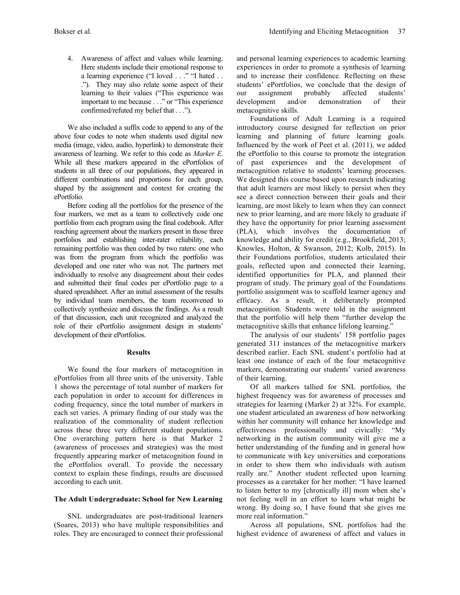4. Awareness of affect and values while learning. Here students include their emotional response to a learning experience ("I loved . . ." "I hated . . ."). They may also relate some aspect of their learning to their values ("This experience was important to me because . . ." or "This experience confirmed/refuted my belief that . . .").

We also included a suffix code to append to any of the above four codes to note when students used digital new media (image, video, audio, hyperlink) to demonstrate their awareness of learning. We refer to this code as *Marker E*. While all these markers appeared in the ePortfolios of students in all three of our populations, they appeared in different combinations and proportions for each group, shaped by the assignment and context for creating the ePortfolio.

Before coding all the portfolios for the presence of the four markers, we met as a team to collectively code one portfolio from each program using the final codebook. After reaching agreement about the markers present in those three portfolios and establishing inter-rater reliability, each remaining portfolio was then coded by two raters: one who was from the program from which the portfolio was developed and one rater who was not. The partners met individually to resolve any disagreement about their codes and submitted their final codes per ePortfolio page to a shared spreadsheet. After an initial assessment of the results by individual team members, the team reconvened to collectively synthesize and discuss the findings. As a result of that discussion, each unit recognized and analyzed the role of their ePortfolio assignment design in students' development of their ePortfolios.

## **Results**

We found the four markers of metacognition in ePortfolios from all three units of the university. Table 1 shows the percentage of total number of markers for each population in order to account for differences in coding frequency, since the total number of markers in each set varies. A primary finding of our study was the realization of the commonality of student reflection across these three very different student populations. One overarching pattern here is that Marker 2 (awareness of processes and strategies) was the most frequently appearing marker of metacognition found in the ePortfolios overall. To provide the necessary context to explain these findings, results are discussed according to each unit.

## **The Adult Undergraduate: School for New Learning**

SNL undergraduates are post-traditional learners (Soares, 2013) who have multiple responsibilities and roles. They are encouraged to connect their professional

and personal learning experiences to academic learning experiences in order to promote a synthesis of learning and to increase their confidence. Reflecting on these students' ePortfolios, we conclude that the design of our assignment probably affected students' development and/or demonstration of their metacognitive skills.

Foundations of Adult Learning is a required introductory course designed for reflection on prior learning and planning of future learning goals. Influenced by the work of Peet et al. (2011), we added the ePortfolio to this course to promote the integration of past experiences and the development of metacognition relative to students' learning processes. We designed this course based upon research indicating that adult learners are most likely to persist when they see a direct connection between their goals and their learning, are most likely to learn when they can connect new to prior learning, and are more likely to graduate if they have the opportunity for prior learning assessment (PLA), which involves the documentation of knowledge and ability for credit (e.g., Brookfield, 2013; Knowles, Holton, & Swanson, 2012; Kolb, 2015). In their Foundations portfolios, students articulated their goals, reflected upon and connected their learning, identified opportunities for PLA, and planned their program of study. The primary goal of the Foundations portfolio assignment was to scaffold learner agency and efficacy. As a result, it deliberately prompted metacognition. Students were told in the assignment that the portfolio will help them "further develop the metacognitive skills that enhance lifelong learning."

The analysis of our students' 158 portfolio pages generated 311 instances of the metacognitive markers described earlier. Each SNL student's portfolio had at least one instance of each of the four metacognitive markers, demonstrating our students' varied awareness of their learning.

Of all markers tallied for SNL portfolios, the highest frequency was for awareness of processes and strategies for learning (Marker 2) at 32%. For example, one student articulated an awareness of how networking within her community will enhance her knowledge and effectiveness professionally and civically: "My networking in the autism community will give me a better understanding of the funding and in general how to communicate with key universities and corporations in order to show them who individuals with autism really are." Another student reflected upon learning processes as a caretaker for her mother: "I have learned to listen better to my [chronically ill] mom when she's not feeling well in an effort to learn what might be wrong. By doing so, I have found that she gives me more real information."

Across all populations, SNL portfolios had the highest evidence of awareness of affect and values in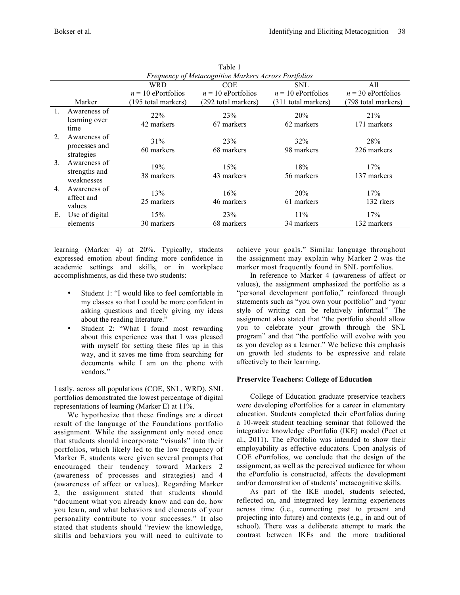|               | Frequency of Metacognitive Markers Across Portfolios |                      |                               |                      |                                |  |  |  |  |  |  |
|---------------|------------------------------------------------------|----------------------|-------------------------------|----------------------|--------------------------------|--|--|--|--|--|--|
|               |                                                      | <b>WRD</b>           | <b>COE</b>                    |                      | All                            |  |  |  |  |  |  |
|               |                                                      | $n = 10$ ePortfolios | $n = 10$ ePortfolios          | $n = 10$ ePortfolios | $n = 30$ ePortfolios           |  |  |  |  |  |  |
|               | Marker                                               | (195 total markers)  | (292 total markers)           | (311 total markers)  | (798 total markers)            |  |  |  |  |  |  |
|               | Awareness of<br>learning over<br>time                | 22%<br>42 markers    | 23%<br>67 markers             | 20%<br>62 markers    | 21%<br>171 markers             |  |  |  |  |  |  |
| $\mathcal{L}$ | Awareness of<br>processes and<br>strategies          | 31%<br>60 markers    | 23 <sup>%</sup><br>68 markers | 32%<br>98 markers    | 28 <sup>%</sup><br>226 markers |  |  |  |  |  |  |
| 3.            | Awareness of<br>strengths and<br>weaknesses          | 19%<br>38 markers    | 15%<br>43 markers             | 18%<br>56 markers    | 17%<br>137 markers             |  |  |  |  |  |  |
| 4.            | Awareness of<br>affect and<br>values                 | 13%<br>25 markers    | 16%<br>46 markers             | 20%<br>61 markers    | 17%<br>132 rkers               |  |  |  |  |  |  |
| Е.            | Use of digital                                       | 15%                  | 23%                           | $11\%$               | 17%                            |  |  |  |  |  |  |
|               | elements                                             | 30 markers           | 68 markers                    | 34 markers           | 132 markers                    |  |  |  |  |  |  |

Table 1

|                                             | learning (Marker 4) at 20%. Typically, students    |  |  |  |  |  |  |  |  |  |  |
|---------------------------------------------|----------------------------------------------------|--|--|--|--|--|--|--|--|--|--|
|                                             | expressed emotion about finding more confidence in |  |  |  |  |  |  |  |  |  |  |
|                                             | academic settings and skills, or in workplace      |  |  |  |  |  |  |  |  |  |  |
| accomplishments, as did these two students: |                                                    |  |  |  |  |  |  |  |  |  |  |

- Student 1: "I would like to feel comfortable in my classes so that I could be more confident in asking questions and freely giving my ideas about the reading literature."
- Student 2: "What I found most rewarding about this experience was that I was pleased with myself for setting these files up in this way, and it saves me time from searching for documents while I am on the phone with vendors."

Lastly, across all populations (COE, SNL, WRD), SNL portfolios demonstrated the lowest percentage of digital representations of learning (Marker E) at 11%.

We hypothesize that these findings are a direct result of the language of the Foundations portfolio assignment. While the assignment only noted once that students should incorporate "visuals" into their portfolios, which likely led to the low frequency of Marker E, students were given several prompts that encouraged their tendency toward Markers 2 (awareness of processes and strategies) and 4 (awareness of affect or values). Regarding Marker 2, the assignment stated that students should "document what you already know and can do, how you learn, and what behaviors and elements of your personality contribute to your successes." It also stated that students should "review the knowledge, skills and behaviors you will need to cultivate to

achieve your goals." Similar language throughout the assignment may explain why Marker 2 was the marker most frequently found in SNL portfolios.

In reference to Marker 4 (awareness of affect or values), the assignment emphasized the portfolio as a "personal development portfolio," reinforced through statements such as "you own your portfolio" and "your style of writing can be relatively informal*.*" The assignment also stated that "the portfolio should allow you to celebrate your growth through the SNL program" and that "the portfolio will evolve with you as you develop as a learner." We believe this emphasis on growth led students to be expressive and relate affectively to their learning.

## **Preservice Teachers: College of Education**

College of Education graduate preservice teachers were developing ePortfolios for a career in elementary education. Students completed their ePortfolios during a 10-week student teaching seminar that followed the integrative knowledge ePortfolio (IKE) model (Peet et al., 2011). The ePortfolio was intended to show their employability as effective educators. Upon analysis of COE ePortfolios, we conclude that the design of the assignment, as well as the perceived audience for whom the ePortfolio is constructed, affects the development and/or demonstration of students' metacognitive skills.

As part of the IKE model, students selected, reflected on, and integrated key learning experiences across time (i.e., connecting past to present and projecting into future) and contexts (e.g., in and out of school). There was a deliberate attempt to mark the contrast between IKEs and the more traditional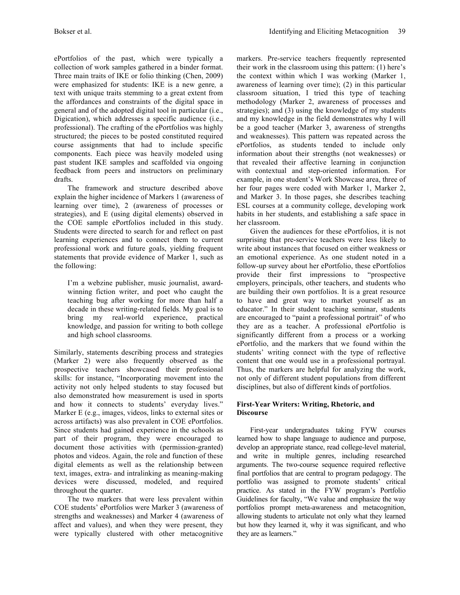ePortfolios of the past, which were typically a collection of work samples gathered in a binder format. Three main traits of IKE or folio thinking (Chen, 2009) were emphasized for students: IKE is a new genre*,* a text with unique traits stemming to a great extent from the affordances and constraints of the digital space in general and of the adopted digital tool in particular (i.e., Digication), which addresses a specific audience (i.e., professional). The crafting of the ePortfolios was highly structured; the pieces to be posted constituted required course assignments that had to include specific components. Each piece was heavily modeled using past student IKE samples and scaffolded via ongoing feedback from peers and instructors on preliminary drafts.

The framework and structure described above explain the higher incidence of Markers 1 (awareness of learning over time), 2 (awareness of processes or strategies), and E (using digital elements) observed in the COE sample ePortfolios included in this study. Students were directed to search for and reflect on past learning experiences and to connect them to current professional work and future goals, yielding frequent statements that provide evidence of Marker 1, such as the following:

I'm a webzine publisher, music journalist, awardwinning fiction writer, and poet who caught the teaching bug after working for more than half a decade in these writing-related fields. My goal is to bring my real-world experience, practical knowledge, and passion for writing to both college and high school classrooms*.*

Similarly, statements describing process and strategies (Marker 2) were also frequently observed as the prospective teachers showcased their professional skills: for instance, "Incorporating movement into the activity not only helped students to stay focused but also demonstrated how measurement is used in sports and how it connects to students' everyday lives." Marker E (e.g., images, videos, links to external sites or across artifacts) was also prevalent in COE ePortfolios. Since students had gained experience in the schools as part of their program, they were encouraged to document those activities with (permission-granted) photos and videos. Again, the role and function of these digital elements as well as the relationship between text, images, extra- and intralinking as meaning-making devices were discussed, modeled, and required throughout the quarter.

The two markers that were less prevalent within COE students' ePortfolios were Marker 3 (awareness of strengths and weaknesses) and Marker 4 (awareness of affect and values), and when they were present, they were typically clustered with other metacognitive markers. Pre-service teachers frequently represented their work in the classroom using this pattern: (1) here's the context within which I was working (Marker 1, awareness of learning over time); (2) in this particular classroom situation, I tried this type of teaching methodology (Marker 2, awareness of processes and strategies); and (3) using the knowledge of my students and my knowledge in the field demonstrates why I will be a good teacher (Marker 3, awareness of strengths and weaknesses). This pattern was repeated across the ePortfolios, as students tended to include only information about their strengths (not weaknesses) or that revealed their affective learning in conjunction with contextual and step-oriented information. For example, in one student's Work Showcase area, three of her four pages were coded with Marker 1, Marker 2, and Marker 3. In those pages, she describes teaching ESL courses at a community college, developing work habits in her students, and establishing a safe space in her classroom.

Given the audiences for these ePortfolios, it is not surprising that pre-service teachers were less likely to write about instances that focused on either weakness or an emotional experience. As one student noted in a follow-up survey about her ePortfolio, these ePortfolios provide their first impressions to "prospective employers, principals, other teachers, and students who are building their own portfolios. It is a great resource to have and great way to market yourself as an educator." In their student teaching seminar, students are encouraged to "paint a professional portrait" of who they are as a teacher. A professional ePortfolio is significantly different from a process or a working ePortfolio, and the markers that we found within the students' writing connect with the type of reflective content that one would use in a professional portrayal. Thus, the markers are helpful for analyzing the work, not only of different student populations from different disciplines, but also of different kinds of portfolios.

#### **First-Year Writers: Writing, Rhetoric, and Discourse**

First-year undergraduates taking FYW courses learned how to shape language to audience and purpose, develop an appropriate stance, read college-level material, and write in multiple genres, including researched arguments. The two-course sequence required reflective final portfolios that are central to program pedagogy. The portfolio was assigned to promote students' critical practice. As stated in the FYW program's Portfolio Guidelines for faculty, "We value and emphasize the way portfolios prompt meta-awareness and metacognition, allowing students to articulate not only what they learned but how they learned it, why it was significant, and who they are as learners."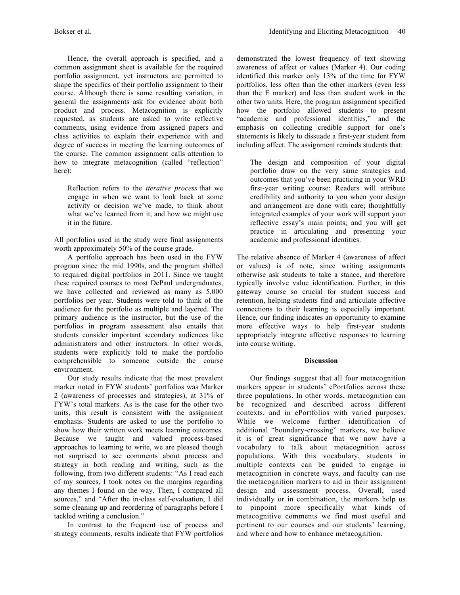Hence, the overall approach is specified, and a common assignment sheet is available for the required portfolio assignment, yet instructors are permitted to shape the specifics of their portfolio assignment to their course. Although there is some resulting variation, in general the assignments ask for evidence about both product and process. Metacognition is explicitly requested, as students are asked to write reflective comments, using evidence from assigned papers and class activities to explain their experience with and degree of success in meeting the learning outcomes of the course. The common assignment calls attention to how to integrate metacognition (called "reflection" here):

Reflection refers to the *iterative process* that we engage in when we want to look back at some activity or decision we've made, to think about what we've learned from it, and how we might use it in the future.

All portfolios used in the study were final assignments worth approximately 50% of the course grade.

A portfolio approach has been used in the FYW program since the mid 1990s, and the program shifted to required digital portfolios in 2011. Since we taught these required courses to most DePaul undergraduates, we have collected and reviewed as many as 5,000 portfolios per year. Students were told to think of the audience for the portfolio as multiple and layered. The primary audience is the instructor, but the use of the portfolios in program assessment also entails that students consider important secondary audiences like administrators and other instructors. In other words, students were explicitly told to make the portfolio comprehensible to someone outside the course environment.

Our study results indicate that the most prevalent marker noted in FYW students' portfolios was Marker 2 (awareness of processes and strategies), at 31% of FYW's total markers. As is the case for the other two units, this result is consistent with the assignment emphasis. Students are asked to use the portfolio to show how their written work meets learning outcomes. Because we taught and valued process-based approaches to learning to write, we are pleased though not surprised to see comments about process and strategy in both reading and writing, such as the following, from two different students: "As I read each of my sources, I took notes on the margins regarding any themes I found on the way. Then, I compared all sources," and "After the in-class self-evaluation, I did some cleaning up and reordering of paragraphs before I tackled writing a conclusion."

In contrast to the frequent use of process and strategy comments, results indicate that FYW portfolios demonstrated the lowest frequency of text showing awareness of affect or values (Marker 4). Our coding identified this marker only 13% of the time for FYW portfolios, less often than the other markers (even less than the E marker) and less than student work in the other two units. Here, the program assignment specified how the portfolio allowed students to present "academic and professional identities," and the emphasis on collecting credible support for one's statements is likely to dissuade a first-year student from including affect. The assignment reminds students that:

The design and composition of your digital portfolio draw on the very same strategies and outcomes that you've been practicing in your WRD first-year writing course: Readers will attribute credibility and authority to you when your design and arrangement are done with care; thoughtfully integrated examples of your work will support your reflective essay's main points; and you will get practice in articulating and presenting your academic and professional identities.

The relative absence of Marker 4 (awareness of affect or values) is of note, since writing assignments otherwise ask students to take a stance, and therefore typically involve value identification. Further, in this gateway course so crucial for student success and retention, helping students find and articulate affective connections to their learning is especially important. Hence, our finding indicates an opportunity to examine more effective ways to help first-year students appropriately integrate affective responses to learning into course writing.

## **Discussion**

Our findings suggest that all four metacognition markers appear in students' ePortfolios across these three populations. In other words, metacognition can be recognized and described across different contexts, and in ePortfolios with varied purposes. While we welcome further identification of additional "boundary-crossing" markers, we believe it is of great significance that we now have a vocabulary to talk about metacognition across populations. With this vocabulary, students in multiple contexts can be guided to engage in metacognition in concrete ways, and faculty can use the metacognition markers to aid in their assignment design and assessment process. Overall, used individually or in combination, the markers help us to pinpoint more specifically what kinds of metacognitive comments we find most useful and pertinent to our courses and our students' learning, and where and how to enhance metacognition.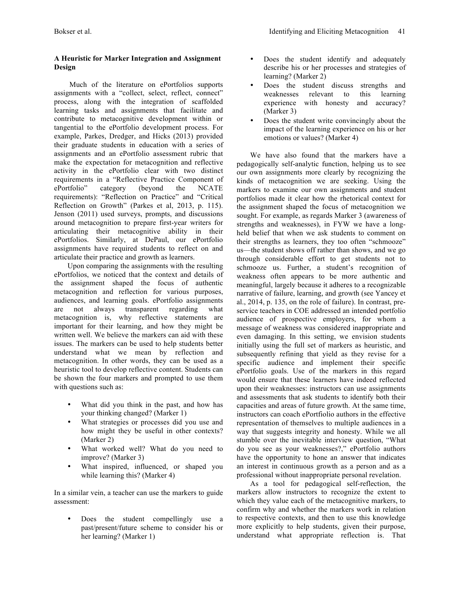# **A Heuristic for Marker Integration and Assignment Design**

Much of the literature on ePortfolios supports assignments with a "collect, select, reflect, connect" process, along with the integration of scaffolded learning tasks and assignments that facilitate and contribute to metacognitive development within or tangential to the ePortfolio development process. For example, Parkes, Dredger, and Hicks (2013) provided their graduate students in education with a series of assignments and an ePortfolio assessment rubric that make the expectation for metacognition and reflective activity in the ePortfolio clear with two distinct requirements in a "Reflective Practice Component of ePortfolio" category (beyond the NCATE requirements): "Reflection on Practice" and "Critical Reflection on Growth" (Parkes et al, 2013, p. 115). Jenson (2011) used surveys, prompts, and discussions around metacognition to prepare first-year writers for articulating their metacognitive ability in their ePortfolios. Similarly, at DePaul, our ePortfolio assignments have required students to reflect on and articulate their practice and growth as learners.

Upon comparing the assignments with the resulting ePortfolios, we noticed that the context and details of the assignment shaped the focus of authentic metacognition and reflection for various purposes, audiences, and learning goals. ePortfolio assignments are not always transparent regarding what metacognition is, why reflective statements are important for their learning, and how they might be written well. We believe the markers can aid with these issues. The markers can be used to help students better understand what we mean by reflection and metacognition. In other words, they can be used as a heuristic tool to develop reflective content. Students can be shown the four markers and prompted to use them with questions such as:

- What did you think in the past, and how has your thinking changed? (Marker 1)
- What strategies or processes did you use and how might they be useful in other contexts? (Marker 2)
- What worked well? What do you need to improve? (Marker 3)
- What inspired, influenced, or shaped you while learning this? (Marker 4)

In a similar vein, a teacher can use the markers to guide assessment:

• Does the student compellingly use a past/present/future scheme to consider his or her learning? (Marker 1)

- Does the student identify and adequately describe his or her processes and strategies of learning? (Marker 2)
- Does the student discuss strengths and<br>weaknesses relevant to this learning weaknesses relevant to experience with honesty and accuracy? (Marker 3)
- Does the student write convincingly about the impact of the learning experience on his or her emotions or values? (Marker 4)

We have also found that the markers have a pedagogically self-analytic function, helping us to see our own assignments more clearly by recognizing the kinds of metacognition we are seeking. Using the markers to examine our own assignments and student portfolios made it clear how the rhetorical context for the assignment shaped the focus of metacognition we sought. For example, as regards Marker 3 (awareness of strengths and weaknesses), in FYW we have a longheld belief that when we ask students to comment on their strengths as learners, they too often "schmooze" us—the student shows off rather than shows, and we go through considerable effort to get students not to schmooze us. Further, a student's recognition of weakness often appears to be more authentic and meaningful, largely because it adheres to a recognizable narrative of failure, learning, and growth (see Yancey et al., 2014, p. 135, on the role of failure). In contrast, preservice teachers in COE addressed an intended portfolio audience of prospective employers, for whom a message of weakness was considered inappropriate and even damaging. In this setting, we envision students initially using the full set of markers as heuristic, and subsequently refining that yield as they revise for a specific audience and implement their specific ePortfolio goals. Use of the markers in this regard would ensure that these learners have indeed reflected upon their weaknesses: instructors can use assignments and assessments that ask students to identify both their capacities and areas of future growth. At the same time, instructors can coach ePortfiolio authors in the effective representation of themselves to multiple audiences in a way that suggests integrity and honesty. While we all stumble over the inevitable interview question, "What do you see as your weaknesses?," ePortfolio authors have the opportunity to hone an answer that indicates an interest in continuous growth as a person and as a professional without inappropriate personal revelation.

As a tool for pedagogical self-reflection, the markers allow instructors to recognize the extent to which they value each of the metacognitive markers, to confirm why and whether the markers work in relation to respective contexts, and then to use this knowledge more explicitly to help students, given their purpose, understand what appropriate reflection is. That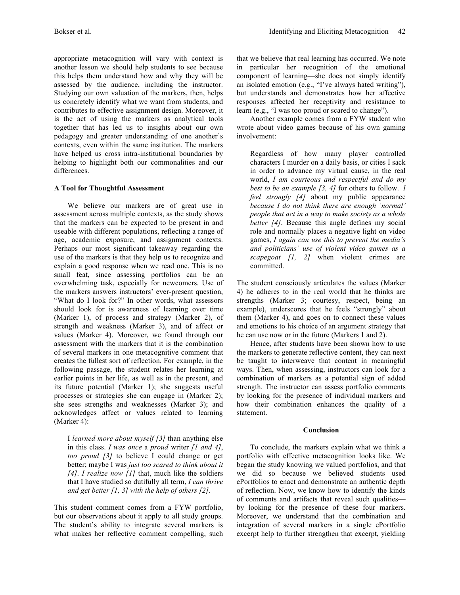appropriate metacognition will vary with context is another lesson we should help students to see because this helps them understand how and why they will be assessed by the audience, including the instructor. Studying our own valuation of the markers, then, helps us concretely identify what we want from students, and contributes to effective assignment design. Moreover, it is the act of using the markers as analytical tools together that has led us to insights about our own pedagogy and greater understanding of one another's contexts, even within the same institution. The markers have helped us cross intra-institutional boundaries by helping to highlight both our commonalities and our differences.

#### **A Tool for Thoughtful Assessment**

We believe our markers are of great use in assessment across multiple contexts, as the study shows that the markers can be expected to be present in and useable with different populations, reflecting a range of age, academic exposure, and assignment contexts. Perhaps our most significant takeaway regarding the use of the markers is that they help us to recognize and explain a good response when we read one. This is no small feat, since assessing portfolios can be an overwhelming task, especially for newcomers. Use of the markers answers instructors' ever-present question, "What do I look for?" In other words, what assessors should look for is awareness of learning over time (Marker 1), of process and strategy (Marker 2), of strength and weakness (Marker 3), and of affect or values (Marker 4). Moreover, we found through our assessment with the markers that it is the combination of several markers in one metacognitive comment that creates the fullest sort of reflection. For example, in the following passage, the student relates her learning at earlier points in her life, as well as in the present, and its future potential (Marker 1); she suggests useful processes or strategies she can engage in (Marker 2); she sees strengths and weaknesses (Marker 3); and acknowledges affect or values related to learning (Marker 4):

I *learned more about myself [3]* than anything else in this class. *I was once* a *proud* writer *[1 and 4]*, *too proud [3]* to believe I could change or get better; maybe I was *just too scared to think about it [4]*. *I realize now [1]* that, much like the soldiers that I have studied so dutifully all term, *I can thrive and get better [1, 3] with the help of others [2]*.

This student comment comes from a FYW portfolio, but our observations about it apply to all study groups. The student's ability to integrate several markers is what makes her reflective comment compelling, such that we believe that real learning has occurred. We note in particular her recognition of the emotional component of learning—she does not simply identify an isolated emotion (e.g., "I've always hated writing"), but understands and demonstrates how her affective responses affected her receptivity and resistance to learn (e.g., "I was too proud or scared to change").

Another example comes from a FYW student who wrote about video games because of his own gaming involvement:

Regardless of how many player controlled characters I murder on a daily basis, or cities I sack in order to advance my virtual cause, in the real world, *I am courteous and respectful and do my best to be an example [3, 4]* for others to follow. *I feel strongly [4]* about my public appearance *because I do not think there are enough 'normal' people that act in a way to make society as a whole better [4]*. Because this angle defines my social role and normally places a negative light on video games, *I again can use this to prevent the media's and politicians' use of violent video games as a scapegoat* [1, 2] when violent crimes are committed.

The student consciously articulates the values (Marker 4) he adheres to in the real world that he thinks are strengths (Marker 3; courtesy, respect, being an example), underscores that he feels "strongly" about them (Marker 4), and goes on to connect these values and emotions to his choice of an argument strategy that he can use now or in the future (Markers 1 and 2).

Hence, after students have been shown how to use the markers to generate reflective content, they can next be taught to interweave that content in meaningful ways. Then, when assessing, instructors can look for a combination of markers as a potential sign of added strength. The instructor can assess portfolio comments by looking for the presence of individual markers and how their combination enhances the quality of a statement.

#### **Conclusion**

To conclude, the markers explain what we think a portfolio with effective metacognition looks like. We began the study knowing we valued portfolios, and that we did so because we believed students used ePortfolios to enact and demonstrate an authentic depth of reflection. Now, we know how to identify the kinds of comments and artifacts that reveal such qualities by looking for the presence of these four markers. Moreover, we understand that the combination and integration of several markers in a single ePortfolio excerpt help to further strengthen that excerpt, yielding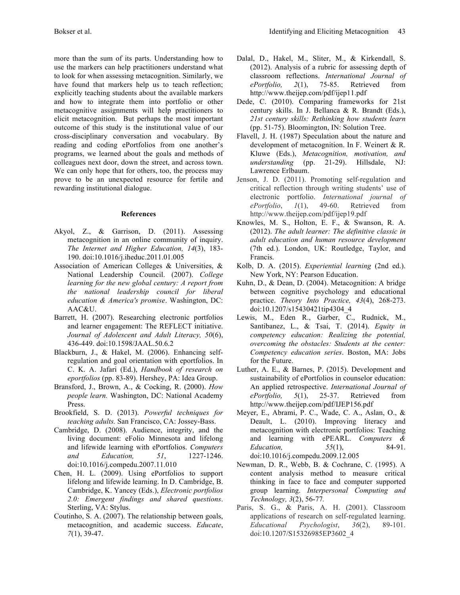more than the sum of its parts. Understanding how to use the markers can help practitioners understand what to look for when assessing metacognition. Similarly, we have found that markers help us to teach reflection; explicitly teaching students about the available markers and how to integrate them into portfolio or other metacognitive assignments will help practitioners to elicit metacognition. But perhaps the most important outcome of this study is the institutional value of our cross-disciplinary conversation and vocabulary. By reading and coding ePortfolios from one another's programs, we learned about the goals and methods of colleagues next door, down the street, and across town. We can only hope that for others, too, the process may prove to be an unexpected resource for fertile and rewarding institutional dialogue.

#### **References**

- Akyol, Z., & Garrison, D. (2011). Assessing metacognition in an online community of inquiry. *The Internet and Higher Education, 14*(3), 183- 190. doi:10.1016/j.iheduc.2011.01.005
- Association of American Colleges & Universities, & National Leadership Council. (2007). *College learning for the new global century: A report from the national leadership council for liberal education & America's promise*. Washington, DC: AAC&U.
- Barrett, H. (2007). Researching electronic portfolios and learner engagement: The REFLECT initiative. *Journal of Adolescent and Adult Literacy, 50*(6), 436-449. doi:10.1598/JAAL.50.6.2
- Blackburn, J., & Hakel, M. (2006). Enhancing selfregulation and goal orientation with eportfolios. In C. K. A. Jafari (Ed.), *Handbook of research on eportfolios* (pp. 83-89). Hershey, PA: Idea Group.
- Bransford, J., Brown, A., & Cocking, R. (2000). *How people learn.* Washington, DC: National Academy Press.
- Brookfield, S. D. (2013). *Powerful techniques for teaching adults.* San Francisco, CA: Jossey-Bass.
- Cambridge, D. (2008). Audience, integrity, and the living document: eFolio Minnesota and lifelong and lifewide learning with ePortfolios. *Computers and Education, 51*, 1227-1246. doi:10.1016/j.compedu.2007.11.010
- Chen, H. L. (2009). Using ePortfolios to support lifelong and lifewide learning. In D. Cambridge, B. Cambridge, K. Yancey (Eds.), *Electronic portfolios 2.0: Emergent findings and shared questions*. Sterling, VA: Stylus.
- Coutinho, S. A. (2007). The relationship between goals, metacognition, and academic success. *Educate*, *7*(1), 39-47.
- Dalal, D., Hakel, M., Sliter, M., & Kirkendall, S. (2012). Analysis of a rubric for assessing depth of classroom reflections. *International Journal of ePortfolio, 2*(1), 75-85. Retrieved from http://www.theijep.com/pdf/ijep11.pdf
- Dede, C. (2010). Comparing frameworks for 21st century skills. In J. Bellanca & R. Brandt (Eds.), *21st century skills: Rethinking how students learn* (pp. 51-75). Bloomington, IN: Solution Tree.
- Flavell, J. H. (1987) Speculation about the nature and development of metacognition. In F. Weinert & R. Kluwe (Eds.), *Metacognition, motivation, and understanding* (pp. 21-29). Hillsdale, NJ: Lawrence Erlbaum.
- Jenson, J. D. (2011). Promoting self-regulation and critical reflection through writing students' use of electronic portfolio. *International journal of ePortfolio*, *1*(1), 49-60. Retrieved from http://www.theijep.com/pdf/ijep19.pdf
- Knowles, M. S., Holton, E. F., & Swanson, R. A. (2012). *The adult learner: The definitive classic in adult education and human resource development*  (7th ed.). London, UK: Routledge, Taylor, and Francis.
- Kolb, D. A. (2015). *Experiential learning* (2nd ed.). New York, NY: Pearson Education.
- Kuhn, D., & Dean, D. (2004). Metacognition: A bridge between cognitive psychology and educational practice. *Theory Into Practice, 43*(4), 268-273. doi:10.1207/s15430421tip4304\_4
- Lewis, M., Eden R., Garber, C., Rudnick, M., Santibanez, L., & Tsai, T. (2014). *Equity in competency education: Realizing the potential, overcoming the obstacles: Students at the center: Competency education series*. Boston, MA: Jobs for the Future.
- Luther, A. E., & Barnes, P. (2015). Development and sustainability of ePortfolios in counselor education: An applied retrospective. *International Journal of ePortfolio, 5*(1), 25-37. Retrieved from http://www.theijep.com/pdf/IJEP156.pdf
- Meyer, E., Abrami, P. C., Wade, C. A., Aslan, O., & Deault, L. (2010). Improving literacy and metacognition with electronic portfolios: Teaching and learning with ePEARL. *Computers & Education,* 55(1), doi:10.1016/j.compedu.2009.12.005
- Newman, D. R., Webb, B. & Cochrane, C. (1995). A content analysis method to measure critical thinking in face to face and computer supported group learning. *Interpersonal Computing and Technology, 3*(2), 56-77*.*
- Paris, S. G., & Paris, A. H. (2001). Classroom applications of research on self-regulated learning. *Educational Psychologist*, *36*(2), 89-101. doi:10.1207/S15326985EP3602\_4